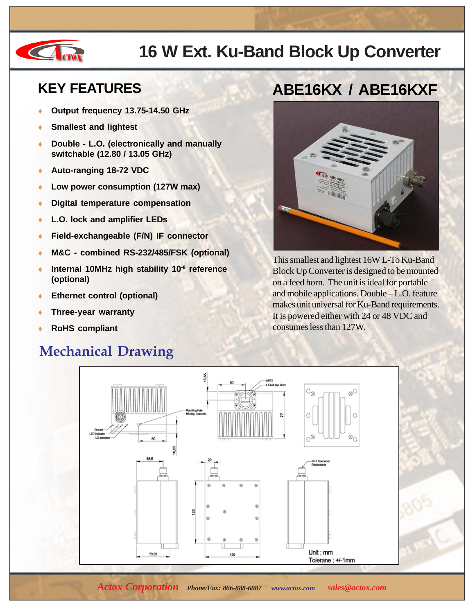

## **16 W Ext. Ku-Band Block Up Converter**

### **KEY FEATURES**

- **Output frequency 13.75-14.50 GHz**
- **Smallest and lightest**
- ♦ **Double L.O. (electronically and manually switchable (12.80 / 13.05 GHz)**
- ♦ **Auto-ranging 18-72 VDC**
- Low power consumption (127W max)
- ♦ **Digital temperature compensation**
- ♦ **L.O. lock and amplifier LEDs**
- ♦ **Field-exchangeable (F/N) IF connector**
- M&C combined RS-232/485/FSK (optional)
- Internal 10MHz high stability 10<sup>-8</sup> reference **(optional)**
- **Ethernet control (optional)**
- **Three-year warranty**
- **RoHS compliant**

### **Mechanical Drawing**

## **ABE16KX / ABE16KXF**



This smallest and lightest 16W L-To Ku-Band Block Up Converter is designed to be mounted on a feed horn. The unit is ideal for portable and mobile applications. Double – L.O. feature makes unit universal for Ku-Band requirements. It is powered either with 24 or 48 VDC and consumes less than 127W.